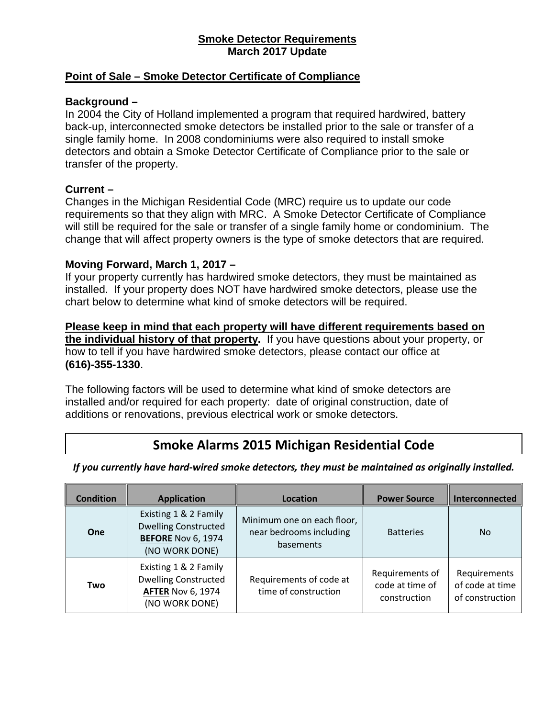#### **Smoke Detector Requirements March 2017 Update**

#### **Point of Sale – Smoke Detector Certificate of Compliance**

#### **Background –**

In 2004 the City of Holland implemented a program that required hardwired, battery back-up, interconnected smoke detectors be installed prior to the sale or transfer of a single family home. In 2008 condominiums were also required to install smoke detectors and obtain a Smoke Detector Certificate of Compliance prior to the sale or transfer of the property.

### **Current –**

Changes in the Michigan Residential Code (MRC) require us to update our code requirements so that they align with MRC. A Smoke Detector Certificate of Compliance will still be required for the sale or transfer of a single family home or condominium. The change that will affect property owners is the type of smoke detectors that are required.

#### **Moving Forward, March 1, 2017 –**

If your property currently has hardwired smoke detectors, they must be maintained as installed. If your property does NOT have hardwired smoke detectors, please use the chart below to determine what kind of smoke detectors will be required.

**Please keep in mind that each property will have different requirements based on the individual history of that property.** If you have questions about your property, or how to tell if you have hardwired smoke detectors, please contact our office at **(616)-355-1330**.

The following factors will be used to determine what kind of smoke detectors are installed and/or required for each property: date of original construction, date of additions or renovations, previous electrical work or smoke detectors.

# **Smoke Alarms 2015 Michigan Residential Code**

*If you currently have hard-wired smoke detectors, they must be maintained as originally installed.*

| <b>Condition</b> | <b>Application</b>                                                                                  | Location                                                           | <b>Power Source</b>                                | Interconnected                                     |
|------------------|-----------------------------------------------------------------------------------------------------|--------------------------------------------------------------------|----------------------------------------------------|----------------------------------------------------|
| One              | Existing 1 & 2 Family<br><b>Dwelling Constructed</b><br><b>BEFORE Nov 6, 1974</b><br>(NO WORK DONE) | Minimum one on each floor,<br>near bedrooms including<br>basements | <b>Batteries</b>                                   | <b>No</b>                                          |
| Two              | Existing 1 & 2 Family<br><b>Dwelling Constructed</b><br><b>AFTER Nov 6, 1974</b><br>(NO WORK DONE)  | Requirements of code at<br>time of construction                    | Requirements of<br>code at time of<br>construction | Requirements<br>of code at time<br>of construction |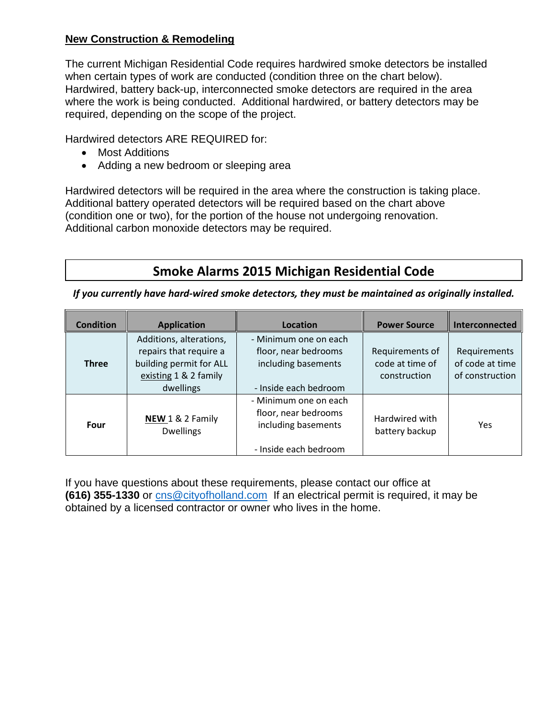## **New Construction & Remodeling**

The current Michigan Residential Code requires hardwired smoke detectors be installed when certain types of work are conducted (condition three on the chart below). Hardwired, battery back-up, interconnected smoke detectors are required in the area where the work is being conducted. Additional hardwired, or battery detectors may be required, depending on the scope of the project.

Hardwired detectors ARE REQUIRED for:

- Most Additions
- Adding a new bedroom or sleeping area

Hardwired detectors will be required in the area where the construction is taking place. Additional battery operated detectors will be required based on the chart above (condition one or two), for the portion of the house not undergoing renovation. Additional carbon monoxide detectors may be required.

# **Smoke Alarms 2015 Michigan Residential Code**

*If you currently have hard-wired smoke detectors, they must be maintained as originally installed.*

| <b>Condition</b> | <b>Application</b>                                                                                                 | Location                                                                                      | <b>Power Source</b>                                | Interconnected                                     |
|------------------|--------------------------------------------------------------------------------------------------------------------|-----------------------------------------------------------------------------------------------|----------------------------------------------------|----------------------------------------------------|
| <b>Three</b>     | Additions, alterations,<br>repairs that require a<br>building permit for ALL<br>existing 1 & 2 family<br>dwellings | - Minimum one on each<br>floor, near bedrooms<br>including basements<br>- Inside each bedroom | Requirements of<br>code at time of<br>construction | Requirements<br>of code at time<br>of construction |
| Four             | NEW 1 & 2 Family<br><b>Dwellings</b>                                                                               | - Minimum one on each<br>floor, near bedrooms<br>including basements<br>- Inside each bedroom | Hardwired with<br>battery backup                   | Yes                                                |

If you have questions about these requirements, please contact our office at **(616) 355-1330** or [cns@cityofholland.com](mailto:cns@cityofholland.com) If an electrical permit is required, it may be obtained by a licensed contractor or owner who lives in the home.